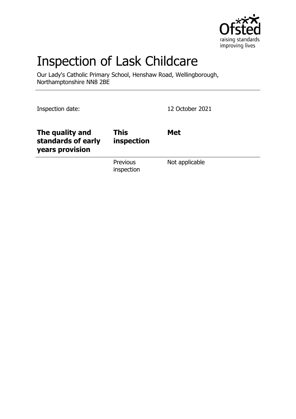

# Inspection of Lask Childcare

Our Lady's Catholic Primary School, Henshaw Road, Wellingborough, Northamptonshire NN8 2BE

Inspection date: 12 October 2021

| The quality and<br>standards of early<br>years provision | <b>This</b><br>inspection | <b>Met</b>     |
|----------------------------------------------------------|---------------------------|----------------|
|                                                          | Previous<br>inspection    | Not applicable |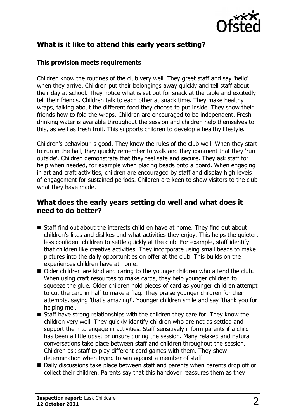

# **What is it like to attend this early years setting?**

#### **This provision meets requirements**

Children know the routines of the club very well. They greet staff and say 'hello' when they arrive. Children put their belongings away quickly and tell staff about their day at school. They notice what is set out for snack at the table and excitedly tell their friends. Children talk to each other at snack time. They make healthy wraps, talking about the different food they choose to put inside. They show their friends how to fold the wraps. Children are encouraged to be independent. Fresh drinking water is available throughout the session and children help themselves to this, as well as fresh fruit. This supports children to develop a healthy lifestyle.

Children's behaviour is good. They know the rules of the club well. When they start to run in the hall, they quickly remember to walk and they comment that they 'run outside'. Children demonstrate that they feel safe and secure. They ask staff for help when needed, for example when placing beads onto a board. When engaging in art and craft activities, children are encouraged by staff and display high levels of engagement for sustained periods. Children are keen to show visitors to the club what they have made.

## **What does the early years setting do well and what does it need to do better?**

- $\blacksquare$  Staff find out about the interests children have at home. They find out about children's likes and dislikes and what activities they enjoy. This helps the quieter, less confident children to settle quickly at the club. For example, staff identify that children like creative activities. They incorporate using small beads to make pictures into the daily opportunities on offer at the club. This builds on the experiences children have at home.
- Older children are kind and caring to the younger children who attend the club. When using craft resources to make cards, they help younger children to squeeze the glue. Older children hold pieces of card as younger children attempt to cut the card in half to make a flag. They praise younger children for their attempts, saying 'that's amazing!'. Younger children smile and say 'thank you for helping me'.
- $\blacksquare$  Staff have strong relationships with the children they care for. They know the children very well. They quickly identify children who are not as settled and support them to engage in activities. Staff sensitively inform parents if a child has been a little upset or unsure during the session. Many relaxed and natural conversations take place between staff and children throughout the session. Children ask staff to play different card games with them. They show determination when trying to win against a member of staff.
- Daily discussions take place between staff and parents when parents drop off or collect their children. Parents say that this handover reassures them as they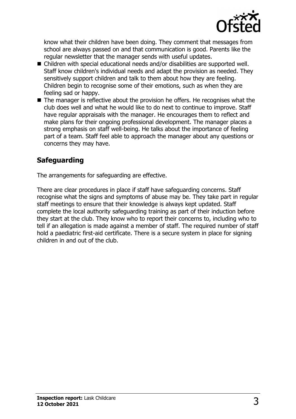

know what their children have been doing. They comment that messages from school are always passed on and that communication is good. Parents like the regular newsletter that the manager sends with useful updates.

- Children with special educational needs and/or disabilities are supported well. Staff know children's individual needs and adapt the provision as needed. They sensitively support children and talk to them about how they are feeling. Children begin to recognise some of their emotions, such as when they are feeling sad or happy.
- $\blacksquare$  The manager is reflective about the provision he offers. He recognises what the club does well and what he would like to do next to continue to improve. Staff have regular appraisals with the manager. He encourages them to reflect and make plans for their ongoing professional development. The manager places a strong emphasis on staff well-being. He talks about the importance of feeling part of a team. Staff feel able to approach the manager about any questions or concerns they may have.

# **Safeguarding**

The arrangements for safeguarding are effective.

There are clear procedures in place if staff have safeguarding concerns. Staff recognise what the signs and symptoms of abuse may be. They take part in regular staff meetings to ensure that their knowledge is always kept updated. Staff complete the local authority safeguarding training as part of their induction before they start at the club. They know who to report their concerns to, including who to tell if an allegation is made against a member of staff. The required number of staff hold a paediatric first-aid certificate. There is a secure system in place for signing children in and out of the club.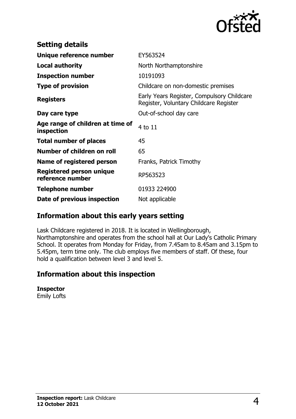

| <b>Setting details</b>                         |                                                                                      |
|------------------------------------------------|--------------------------------------------------------------------------------------|
| Unique reference number                        | EY563524                                                                             |
| <b>Local authority</b>                         | North Northamptonshire                                                               |
| <b>Inspection number</b>                       | 10191093                                                                             |
| <b>Type of provision</b>                       | Childcare on non-domestic premises                                                   |
| <b>Registers</b>                               | Early Years Register, Compulsory Childcare<br>Register, Voluntary Childcare Register |
| Day care type                                  | Out-of-school day care                                                               |
| Age range of children at time of<br>inspection | 4 to 11                                                                              |
| <b>Total number of places</b>                  | 45                                                                                   |
| Number of children on roll                     | 65                                                                                   |
| Name of registered person                      | Franks, Patrick Timothy                                                              |
| Registered person unique<br>reference number   | RP563523                                                                             |
| <b>Telephone number</b>                        | 01933 224900                                                                         |
| Date of previous inspection                    | Not applicable                                                                       |

## **Information about this early years setting**

Lask Childcare registered in 2018. It is located in Wellingborough, Northamptonshire and operates from the school hall at Our Lady's Catholic Primary School. It operates from Monday for Friday, from 7.45am to 8.45am and 3.15pm to 5.45pm, term time only. The club employs five members of staff. Of these, four hold a qualification between level 3 and level 5.

## **Information about this inspection**

#### **Inspector**

Emily Lofts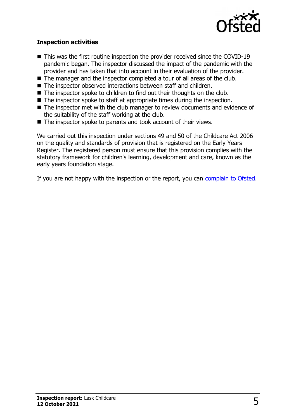

### **Inspection activities**

- $\blacksquare$  This was the first routine inspection the provider received since the COVID-19 pandemic began. The inspector discussed the impact of the pandemic with the provider and has taken that into account in their evaluation of the provider.
- $\blacksquare$  The manager and the inspector completed a tour of all areas of the club.
- $\blacksquare$  The inspector observed interactions between staff and children.
- $\blacksquare$  The inspector spoke to children to find out their thoughts on the club.
- $\blacksquare$  The inspector spoke to staff at appropriate times during the inspection.
- $\blacksquare$  The inspector met with the club manager to review documents and evidence of the suitability of the staff working at the club.
- $\blacksquare$  The inspector spoke to parents and took account of their views.

We carried out this inspection under sections 49 and 50 of the Childcare Act 2006 on the quality and standards of provision that is registered on the Early Years Register. The registered person must ensure that this provision complies with the statutory framework for children's learning, development and care, known as the early years foundation stage.

If you are not happy with the inspection or the report, you can [complain to Ofsted](http://www.gov.uk/complain-ofsted-report).